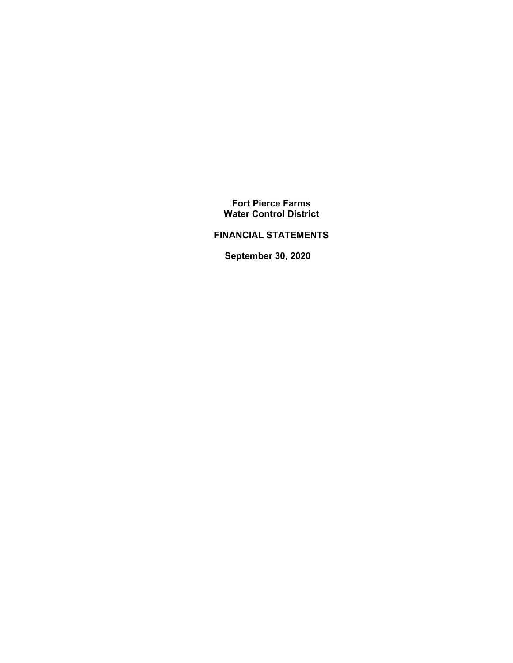**Fort Pierce Farms Water Control District**

**FINANCIAL STATEMENTS**

 **September 30, 2020**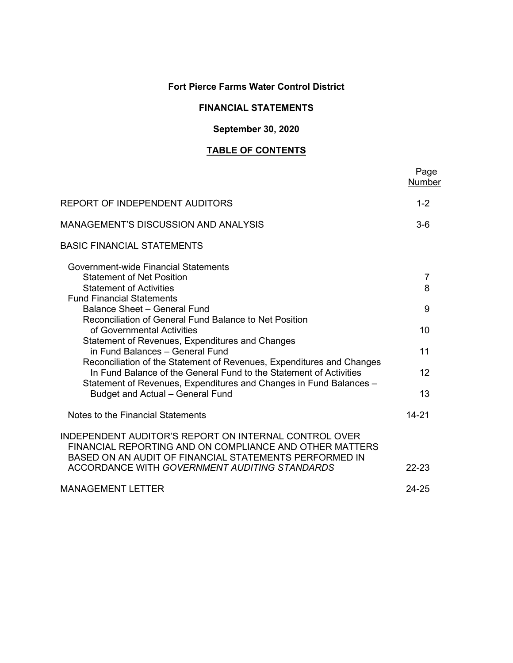# **Fort Pierce Farms Water Control District**

# **FINANCIAL STATEMENTS**

# **September 30, 2020**

# **TABLE OF CONTENTS**

|                                                                                                                                                                                                                                    | Page<br>Number      |
|------------------------------------------------------------------------------------------------------------------------------------------------------------------------------------------------------------------------------------|---------------------|
| REPORT OF INDEPENDENT AUDITORS                                                                                                                                                                                                     | $1 - 2$             |
| <b>MANAGEMENT'S DISCUSSION AND ANALYSIS</b>                                                                                                                                                                                        | $3-6$               |
| BASIC FINANCIAL STATEMENTS                                                                                                                                                                                                         |                     |
| Government-wide Financial Statements<br><b>Statement of Net Position</b><br><b>Statement of Activities</b><br><b>Fund Financial Statements</b>                                                                                     | $\overline{7}$<br>8 |
| Balance Sheet - General Fund<br>Reconciliation of General Fund Balance to Net Position                                                                                                                                             | 9                   |
| of Governmental Activities                                                                                                                                                                                                         | 10                  |
| Statement of Revenues, Expenditures and Changes<br>in Fund Balances - General Fund                                                                                                                                                 | 11                  |
| Reconciliation of the Statement of Revenues, Expenditures and Changes<br>In Fund Balance of the General Fund to the Statement of Activities<br>Statement of Revenues, Expenditures and Changes in Fund Balances -                  | 12 <sup>2</sup>     |
| Budget and Actual – General Fund                                                                                                                                                                                                   | 13                  |
| Notes to the Financial Statements                                                                                                                                                                                                  | $14 - 21$           |
| INDEPENDENT AUDITOR'S REPORT ON INTERNAL CONTROL OVER<br>FINANCIAL REPORTING AND ON COMPLIANCE AND OTHER MATTERS<br>BASED ON AN AUDIT OF FINANCIAL STATEMENTS PERFORMED IN<br><b>ACCORDANCE WITH GOVERNMENT AUDITING STANDARDS</b> | 22-23               |
| <b>MANAGEMENT LETTER</b>                                                                                                                                                                                                           | 24-25               |
|                                                                                                                                                                                                                                    |                     |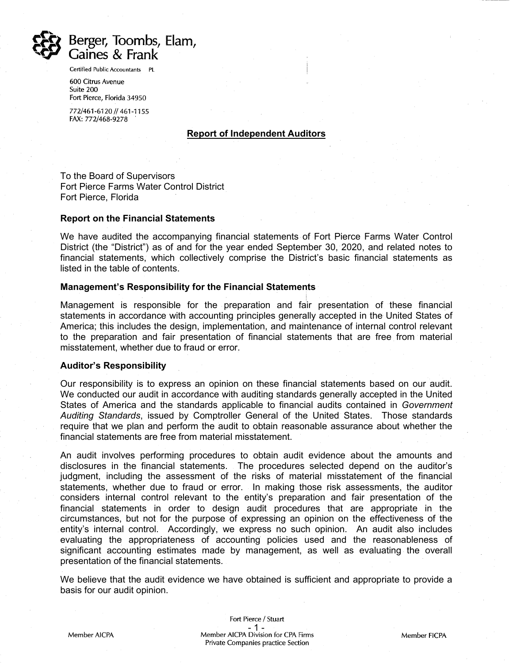

Certified Public Accountants PL

600 Citrus Avenue Suite 200 Fort Pierce, Florida 34950

772/461-6120 // 461-1155 FAX: 772/468-9278

#### **Report of Independent Auditors**

To the Board of Supervisors Fort Pierce Farms Water Control District Fort Pierce, Florida

#### **Report on the Financial Statements**

We have audited the accompanying financial statements of Fort Pierce Farms Water Control District (the "District") as of and for the year ended September 30, 2020, and related notes to financial statements, which collectively comprise the District's basic financial statements as listed in the table of contents.

#### **Management's Responsibility for the Financial Statements**

Management is responsible for the preparation and fair presentation of these financial statements in accordance with accounting principles generally accepted in the United States of America; this includes the design, implementation, and maintenance of internal control relevant to the preparation and fair presentation of financial statements that are free from material misstatement, whether due to fraud or error.

#### **Auditor's Responsibility**

Our responsibility is to express an opinion on these financial statements based on our audit. We conducted our audit in accordance with auditing standards generally accepted in the United States of America and the standards applicable to financial audits contained in *Government Auditing Standards*, issued by Comptroller General of the United States. Those standards require that we plan and perform the audit to obtain reasonable assurance about whether the financial statements are free from material misstatement.

An audit involves performing procedures to obtain audit evidence about the amounts and disclosures in the financial statements. The procedures selected depend on the auditor's judgment, including the assessment of the risks of material misstatement of the financial statements, whether due to fraud or error. In making those risk assessments, the auditor considers internal control relevant to the entity's preparation and fair presentation of the financial statements in order to design audit procedures that are appropriate in the circumstances, but not for the purpose of expressing an opinion on the effectiveness of the entity's internal control. Accordingly, we express no such opinion. An audit also includes evaluating the appropriateness of accounting policies used and the reasonableness of significant accounting estimates made by management, as well as evaluating the overall presentation of the financial statements.

We believe that the audit evidence we have obtained is sufficient and appropriate to provide a basis for our audit opinion.

Fort Pierce / Stuart - 1 -<br>Member AICPA Division for CPA Firms Private Companies practice Section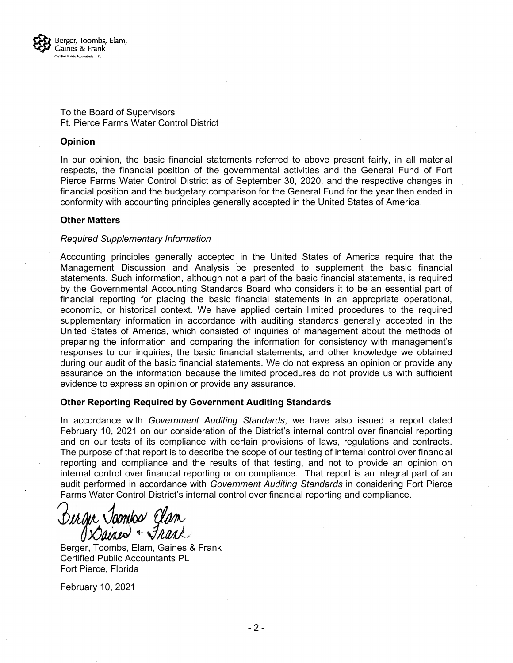

To the Board of Supervisors Ft. Pierce Farms Water Control District

#### **Opinion**

In our opinion, the basic financial statements referred to above present fairly, in all material respects, the financial position of the governmental activities and the General Fund of Fort Pierce Farms Water Control District as of September 30, 2020, and the respective changes in financial position and the budgetary comparison for the General Fund for the year then ended in conformity with accounting principles generally accepted in the United States of America.

#### **Other Matters**

#### *Required Supplementary Information*

Accounting principles generally accepted in the United States of America require that the Management Discussion and Analysis be presented to supplement the basic financial statements. Such information, although not a part of the basic financial statements, is required by the Governmental Accounting Standards Board who considers it to be an essential part of financial reporting for placing the basic financial statements in an appropriate operational, economic, or historical context. We have applied certain limited procedures to the required supplementary information in accordance with auditing standards generally accepted in the United States of America, which consisted of inquiries of management about the methods of preparing the information and comparing the information for consistency with management's responses to our inquiries, the basic financial statements, and other knowledge we obtained during our audit of the basic financial statements. We do not express an opinion or provide any assurance on the information because the limited procedures do not provide us with sufficient evidence to express an opinion or provide any assurance.

#### **Other Reporting Required by Government Auditing Standards**

In accordance with *Government Auditing Standards*, we have also issued a report dated February 10, 2021 on our consideration of the District's internal control over financial reporting and on our tests of its compliance with certain provisions of laws, regulations and contracts. The purpose of that report is to describe the scope of our testing of internal control over financial reporting and compliance and the results of that testing, and not to provide an opinion on internal control over financial reporting or on compliance. That report is an integral part of an audit performed in accordance with *Government Auditing Standards* in considering Fort Pierce Farms Water Control District's internal control over financial reporting and compliance.

Derair Joonbo Clam Oaires + Frank

Berger, Toombs, Elam, Gaines & Frank Certified Public Accountants PL Fort Pierce, Florida

February 10, 2021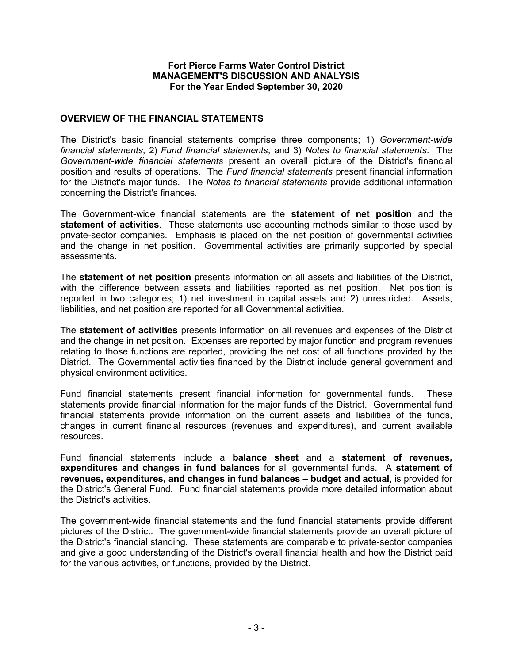### **OVERVIEW OF THE FINANCIAL STATEMENTS**

The District's basic financial statements comprise three components; 1) *Government-wide financial statements*, 2) *Fund financial statements*, and 3) *Notes to financial statements*. The *Government-wide financial statements* present an overall picture of the District's financial position and results of operations. The *Fund financial statements* present financial information for the District's major funds. The *Notes to financial statements* provide additional information concerning the District's finances.

The Government-wide financial statements are the **statement of net position** and the **statement of activities**. These statements use accounting methods similar to those used by private-sector companies. Emphasis is placed on the net position of governmental activities and the change in net position. Governmental activities are primarily supported by special assessments.

The **statement of net position** presents information on all assets and liabilities of the District, with the difference between assets and liabilities reported as net position. Net position is reported in two categories; 1) net investment in capital assets and 2) unrestricted. Assets, liabilities, and net position are reported for all Governmental activities.

The **statement of activities** presents information on all revenues and expenses of the District and the change in net position. Expenses are reported by major function and program revenues relating to those functions are reported, providing the net cost of all functions provided by the District. The Governmental activities financed by the District include general government and physical environment activities.

Fund financial statements present financial information for governmental funds. These statements provide financial information for the major funds of the District. Governmental fund financial statements provide information on the current assets and liabilities of the funds, changes in current financial resources (revenues and expenditures), and current available resources.

Fund financial statements include a **balance sheet** and a **statement of revenues, expenditures and changes in fund balances** for all governmental funds. A **statement of revenues, expenditures, and changes in fund balances – budget and actual**, is provided for the District's General Fund. Fund financial statements provide more detailed information about the District's activities.

The government-wide financial statements and the fund financial statements provide different pictures of the District. The government-wide financial statements provide an overall picture of the District's financial standing. These statements are comparable to private-sector companies and give a good understanding of the District's overall financial health and how the District paid for the various activities, or functions, provided by the District.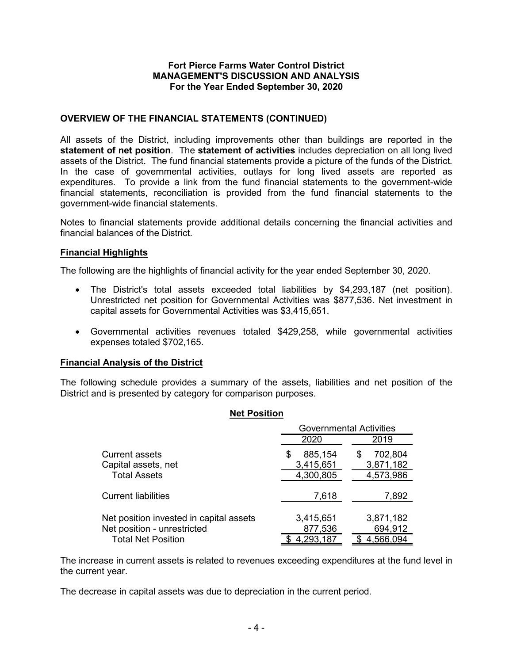### **OVERVIEW OF THE FINANCIAL STATEMENTS (CONTINUED)**

All assets of the District, including improvements other than buildings are reported in the **statement of net position**. The **statement of activities** includes depreciation on all long lived assets of the District. The fund financial statements provide a picture of the funds of the District. In the case of governmental activities, outlays for long lived assets are reported as expenditures. To provide a link from the fund financial statements to the government-wide financial statements, reconciliation is provided from the fund financial statements to the government-wide financial statements.

Notes to financial statements provide additional details concerning the financial activities and financial balances of the District.

#### **Financial Highlights**

The following are the highlights of financial activity for the year ended September 30, 2020.

- The District's total assets exceeded total liabilities by \$4,293,187 (net position). Unrestricted net position for Governmental Activities was \$877,536. Net investment in capital assets for Governmental Activities was \$3,415,651.
- Governmental activities revenues totaled \$429,258, while governmental activities expenses totaled \$702,165.

#### **Financial Analysis of the District**

The following schedule provides a summary of the assets, liabilities and net position of the District and is presented by category for comparison purposes.

### **Net Position**

|                                                                                                     | <b>Governmental Activities</b>         |                                   |  |
|-----------------------------------------------------------------------------------------------------|----------------------------------------|-----------------------------------|--|
|                                                                                                     | 2020                                   | 2019                              |  |
| <b>Current assets</b><br>Capital assets, net<br><b>Total Assets</b>                                 | 885,154<br>S<br>3,415,651<br>4,300,805 | 702,804<br>3,871,182<br>4,573,986 |  |
| <b>Current liabilities</b>                                                                          | 7,618                                  | 7,892                             |  |
| Net position invested in capital assets<br>Net position - unrestricted<br><b>Total Net Position</b> | 3,415,651<br>877,536<br>4,293,187      | 3,871,182<br>694,912<br>4,566,094 |  |

The increase in current assets is related to revenues exceeding expenditures at the fund level in the current year.

The decrease in capital assets was due to depreciation in the current period.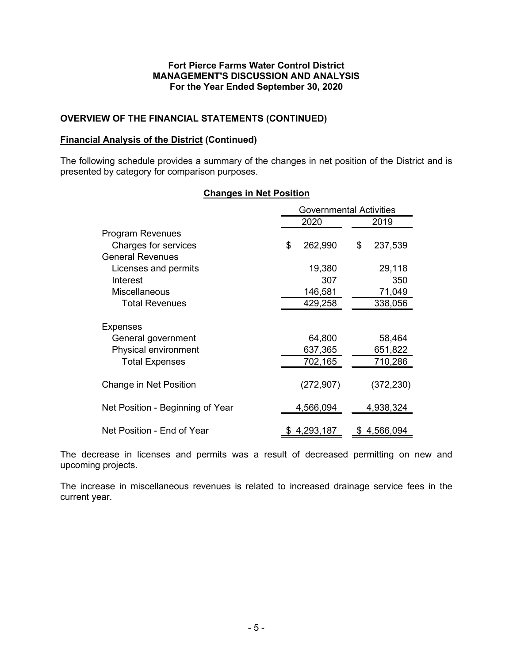## **OVERVIEW OF THE FINANCIAL STATEMENTS (CONTINUED)**

### **Financial Analysis of the District (Continued)**

The following schedule provides a summary of the changes in net position of the District and is presented by category for comparison purposes.

### **Changes in Net Position**

|                                  | <b>Governmental Activities</b> |             |    |             |
|----------------------------------|--------------------------------|-------------|----|-------------|
|                                  |                                | 2020        |    | 2019        |
| <b>Program Revenues</b>          |                                |             |    |             |
| Charges for services             | \$                             | 262,990     | \$ | 237,539     |
| <b>General Revenues</b>          |                                |             |    |             |
| Licenses and permits             |                                | 19,380      |    | 29,118      |
| Interest                         |                                | 307         |    | 350         |
| <b>Miscellaneous</b>             |                                | 146,581     |    | 71,049      |
| <b>Total Revenues</b>            |                                | 429,258     |    | 338,056     |
| <b>Expenses</b>                  |                                |             |    |             |
| General government               |                                | 64,800      |    | 58,464      |
| Physical environment             |                                | 637,365     |    | 651,822     |
| <b>Total Expenses</b>            |                                | 702,165     |    | 710,286     |
| Change in Net Position           |                                | (272, 907)  |    | (372, 230)  |
| Net Position - Beginning of Year |                                | 4,566,094   |    | 4,938,324   |
| Net Position - End of Year       |                                | \$4,293,187 |    | \$4,566,094 |

The decrease in licenses and permits was a result of decreased permitting on new and upcoming projects.

The increase in miscellaneous revenues is related to increased drainage service fees in the current year.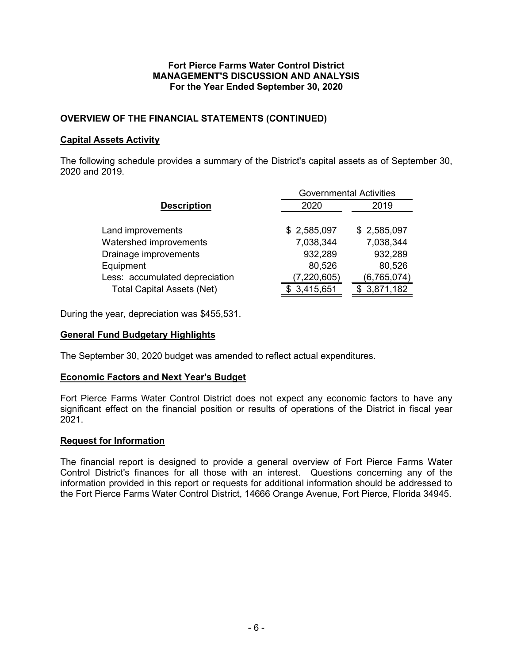## **OVERVIEW OF THE FINANCIAL STATEMENTS (CONTINUED)**

## **Capital Assets Activity**

The following schedule provides a summary of the District's capital assets as of September 30, 2020 and 2019.

|                                   | <b>Governmental Activities</b> |               |
|-----------------------------------|--------------------------------|---------------|
| <b>Description</b>                | 2020                           | 2019          |
| Land improvements                 | \$2,585,097                    | \$2,585,097   |
| Watershed improvements            | 7,038,344                      | 7,038,344     |
| Drainage improvements             | 932,289                        | 932,289       |
| Equipment                         | 80,526                         | 80,526        |
| Less: accumulated depreciation    | (7, 220, 605)                  | (6, 765, 074) |
| <b>Total Capital Assets (Net)</b> | 3,415,651                      | 3,871,182     |

During the year, depreciation was \$455,531.

## **General Fund Budgetary Highlights**

The September 30, 2020 budget was amended to reflect actual expenditures.

### **Economic Factors and Next Year's Budget**

Fort Pierce Farms Water Control District does not expect any economic factors to have any significant effect on the financial position or results of operations of the District in fiscal year 2021.

#### **Request for Information**

The financial report is designed to provide a general overview of Fort Pierce Farms Water Control District's finances for all those with an interest. Questions concerning any of the information provided in this report or requests for additional information should be addressed to the Fort Pierce Farms Water Control District, 14666 Orange Avenue, Fort Pierce, Florida 34945.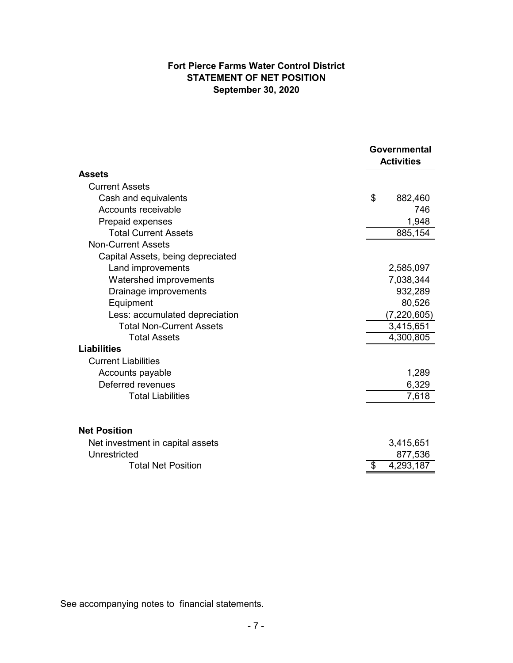## **Fort Pierce Farms Water Control District STATEMENT OF NET POSITION September 30, 2020**

|                                   | Governmental<br><b>Activities</b> |               |
|-----------------------------------|-----------------------------------|---------------|
| <b>Assets</b>                     |                                   |               |
| <b>Current Assets</b>             |                                   |               |
| Cash and equivalents              | \$                                | 882,460       |
| Accounts receivable               |                                   | 746           |
| Prepaid expenses                  |                                   | 1,948         |
| <b>Total Current Assets</b>       |                                   | 885,154       |
| <b>Non-Current Assets</b>         |                                   |               |
| Capital Assets, being depreciated |                                   |               |
| Land improvements                 |                                   | 2,585,097     |
| Watershed improvements            |                                   | 7,038,344     |
| Drainage improvements             |                                   | 932,289       |
| Equipment                         |                                   | 80,526        |
| Less: accumulated depreciation    |                                   | (7, 220, 605) |
| <b>Total Non-Current Assets</b>   |                                   | 3,415,651     |
| <b>Total Assets</b>               |                                   | 4,300,805     |
| <b>Liabilities</b>                |                                   |               |
| <b>Current Liabilities</b>        |                                   |               |
| Accounts payable                  |                                   | 1,289         |
| Deferred revenues                 |                                   | 6,329         |
| <b>Total Liabilities</b>          |                                   | 7,618         |
|                                   |                                   |               |
| <b>Net Position</b>               |                                   |               |
| Net investment in capital assets  |                                   | 3,415,651     |
| Unrestricted                      |                                   | 877,536       |
| <b>Total Net Position</b>         | $\overline{\mathcal{S}}$          | 4,293,187     |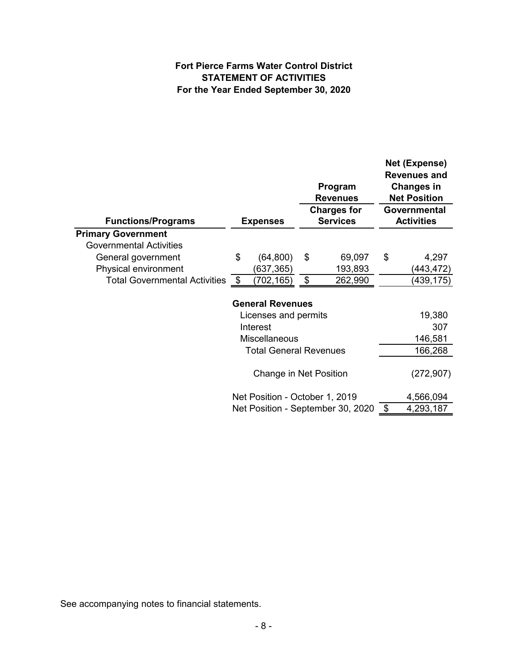# **Fort Pierce Farms Water Control District STATEMENT OF ACTIVITIES For the Year Ended September 30, 2020**

|                                                             |     |                                | Program<br><b>Revenues</b><br><b>Charges for</b> | Net (Expense)<br><b>Revenues and</b><br><b>Changes in</b><br><b>Net Position</b><br>Governmental |
|-------------------------------------------------------------|-----|--------------------------------|--------------------------------------------------|--------------------------------------------------------------------------------------------------|
| <b>Functions/Programs</b>                                   |     | <b>Expenses</b>                | <b>Services</b>                                  | <b>Activities</b>                                                                                |
| <b>Primary Government</b><br><b>Governmental Activities</b> |     |                                |                                                  |                                                                                                  |
| General government                                          | \$  | (64, 800)                      | \$<br>69,097                                     | \$<br>4,297                                                                                      |
| Physical environment                                        |     | (637, 365)                     | 193,893                                          | (443,472)                                                                                        |
| <b>Total Governmental Activities</b>                        | -\$ | (702,165)                      | \$<br>262,990                                    | (439,175)                                                                                        |
|                                                             |     | <b>General Revenues</b>        |                                                  |                                                                                                  |
|                                                             |     | Licenses and permits           |                                                  | 19,380                                                                                           |
|                                                             |     | Interest                       |                                                  | 307                                                                                              |
|                                                             |     | Miscellaneous                  |                                                  | 146,581                                                                                          |
|                                                             |     | <b>Total General Revenues</b>  |                                                  | 166,268                                                                                          |
|                                                             |     | Change in Net Position         |                                                  | (272, 907)                                                                                       |
|                                                             |     | Net Position - October 1, 2019 |                                                  | 4,566,094                                                                                        |
|                                                             |     |                                | Net Position - September 30, 2020                | \$<br>4,293,187                                                                                  |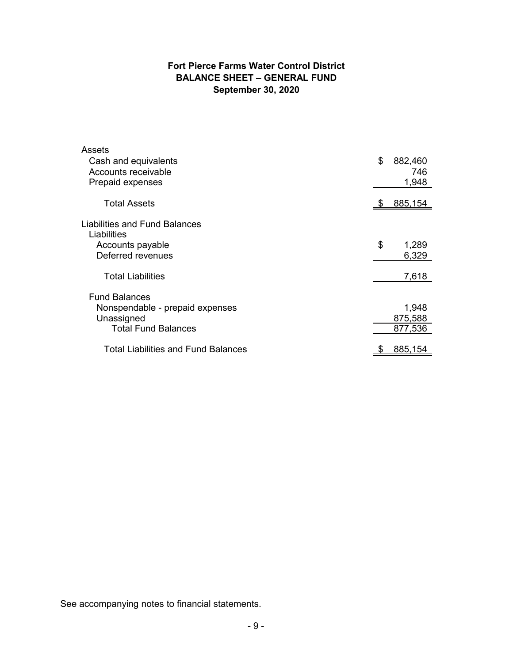## **Fort Pierce Farms Water Control District BALANCE SHEET – GENERAL FUND September 30, 2020**

| Assets<br>Cash and equivalents<br>Accounts receivable<br>Prepaid expenses | \$<br>882,460<br>746<br>1,948 |
|---------------------------------------------------------------------------|-------------------------------|
| <b>Total Assets</b>                                                       | 885,154                       |
| Liabilities and Fund Balances<br>Liabilities                              |                               |
| Accounts payable<br>Deferred revenues                                     | \$<br>1,289<br>6,329          |
| <b>Total Liabilities</b>                                                  | 7,618                         |
| <b>Fund Balances</b><br>Nonspendable - prepaid expenses                   | 1,948                         |
| Unassigned                                                                | 875,588                       |
| <b>Total Fund Balances</b>                                                | 877,536                       |
| <b>Total Liabilities and Fund Balances</b>                                | 885,154                       |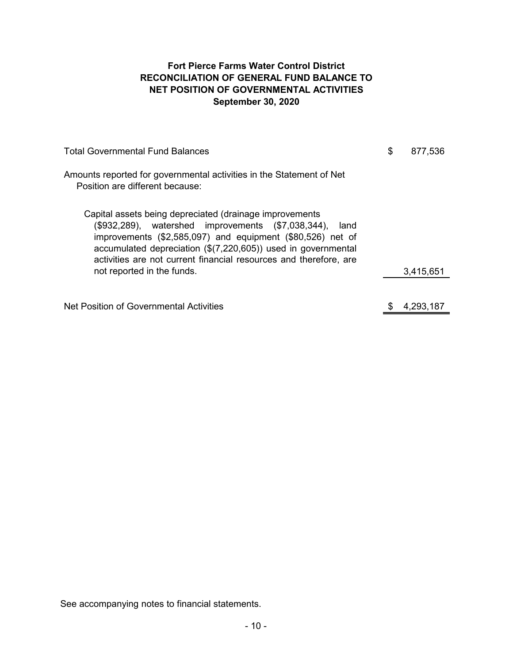# **Fort Pierce Farms Water Control District RECONCILIATION OF GENERAL FUND BALANCE TO NET POSITION OF GOVERNMENTAL ACTIVITIES September 30, 2020**

| <b>Total Governmental Fund Balances</b>                                                                                                                                                                                                                                                                                   | \$<br>877,536 |
|---------------------------------------------------------------------------------------------------------------------------------------------------------------------------------------------------------------------------------------------------------------------------------------------------------------------------|---------------|
| Amounts reported for governmental activities in the Statement of Net<br>Position are different because:                                                                                                                                                                                                                   |               |
| Capital assets being depreciated (drainage improvements<br>(\$932,289), watershed improvements (\$7,038,344),<br>land<br>improvements (\$2,585,097) and equipment (\$80,526) net of<br>accumulated depreciation (\$(7,220,605)) used in governmental<br>activities are not current financial resources and therefore, are |               |
| not reported in the funds.                                                                                                                                                                                                                                                                                                | 3,415,651     |
|                                                                                                                                                                                                                                                                                                                           |               |
| Net Position of Governmental Activities                                                                                                                                                                                                                                                                                   | 4,293,187     |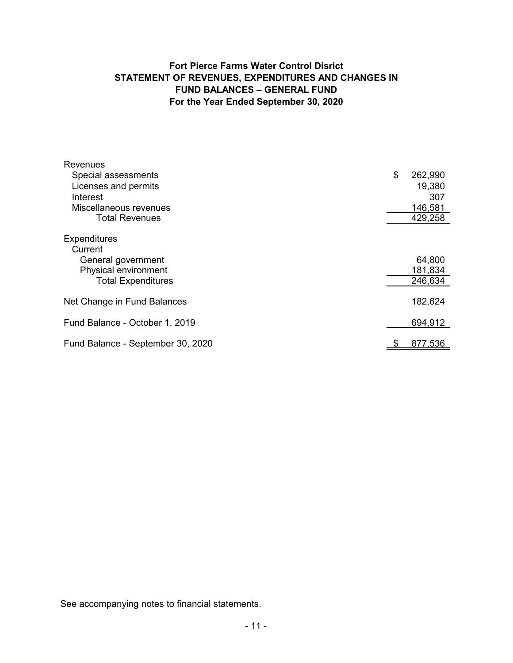# **Fort Pierce Farms Water Control Disrict STATEMENT OF REVENUES, EXPENDITURES AND CHANGES IN FUND BALANCES – GENERAL FUND For the Year Ended September 30, 2020**

| Revenues                                             |               |
|------------------------------------------------------|---------------|
| Special assessments                                  | \$<br>262,990 |
| Licenses and permits                                 | 19,380        |
| Interest                                             | 307           |
| Miscellaneous revenues                               | 146,581       |
| <b>Total Revenues</b>                                | 429,258       |
| <b>Expenditures</b><br>Current<br>General government | 64,800        |
| Physical environment                                 | 181,834       |
| <b>Total Expenditures</b>                            | 246,634       |
| Net Change in Fund Balances                          | 182,624       |
| Fund Balance - October 1, 2019                       | 694,912       |
| Fund Balance - September 30, 2020                    | 877,536       |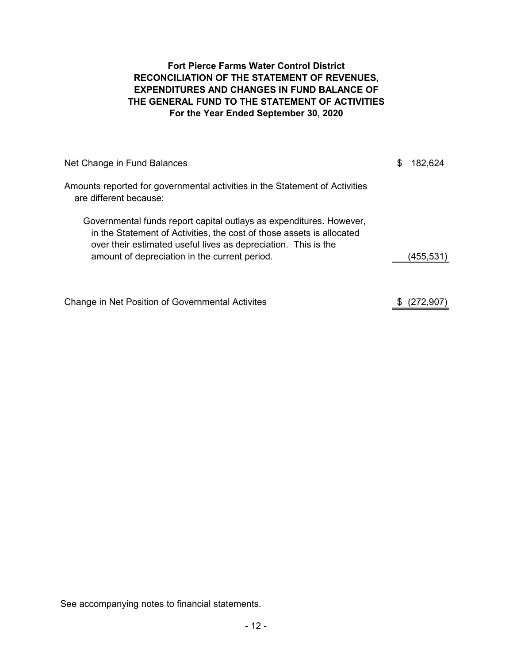# **Fort Pierce Farms Water Control District RECONCILIATION OF THE STATEMENT OF REVENUES, EXPENDITURES AND CHANGES IN FUND BALANCE OF THE GENERAL FUND TO THE STATEMENT OF ACTIVITIES For the Year Ended September 30, 2020**

| Net Change in Fund Balances                                                                                                                                                                                                                                     |    | 182,624    |
|-----------------------------------------------------------------------------------------------------------------------------------------------------------------------------------------------------------------------------------------------------------------|----|------------|
| Amounts reported for governmental activities in the Statement of Activities<br>are different because:                                                                                                                                                           |    |            |
| Governmental funds report capital outlays as expenditures. However,<br>in the Statement of Activities, the cost of those assets is allocated<br>over their estimated useful lives as depreciation. This is the<br>amount of depreciation in the current period. |    | (455,531)  |
| Change in Net Position of Governmental Activites                                                                                                                                                                                                                | æ. | (272, 907) |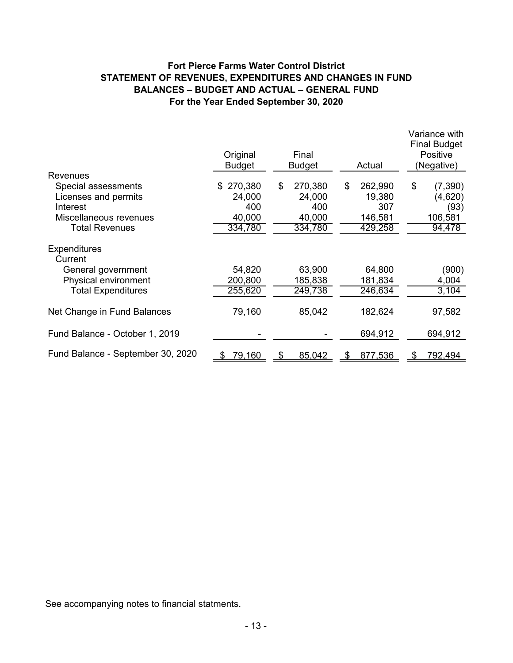# **Fort Pierce Farms Water Control District STATEMENT OF REVENUES, EXPENDITURES AND CHANGES IN FUND BALANCES – BUDGET AND ACTUAL – GENERAL FUND For the Year Ended September 30, 2020**

|                                   | Original       | Final         |               | Variance with<br><b>Final Budget</b><br>Positive |
|-----------------------------------|----------------|---------------|---------------|--------------------------------------------------|
|                                   |                |               |               |                                                  |
|                                   | <b>Budget</b>  | <b>Budget</b> | Actual        | (Negative)                                       |
| <b>Revenues</b>                   |                |               |               |                                                  |
| Special assessments               | 270,380<br>SS. | 270,380<br>\$ | 262,990<br>\$ | \$<br>(7, 390)                                   |
| Licenses and permits              | 24,000         | 24,000        | 19,380        | (4,620)                                          |
| Interest                          | 400            | 400           | 307           | (93)                                             |
| Miscellaneous revenues            | 40,000         | 40,000        | 146,581       | 106,581                                          |
| <b>Total Revenues</b>             | 334,780        | 334,780       | 429,258       | 94,478                                           |
| <b>Expenditures</b><br>Current    |                |               |               |                                                  |
| General government                | 54,820         | 63,900        | 64,800        | (900)                                            |
| Physical environment              | 200,800        | 185,838       | 181,834       | 4,004                                            |
| <b>Total Expenditures</b>         | 255,620        | 249,738       | 246,634       | 3,104                                            |
| Net Change in Fund Balances       | 79,160         | 85,042        | 182,624       | 97,582                                           |
| Fund Balance - October 1, 2019    |                |               | 694,912       | 694,912                                          |
| Fund Balance - September 30, 2020 | 79,160<br>-SS  | 85,042        | 877,536       | 792,494                                          |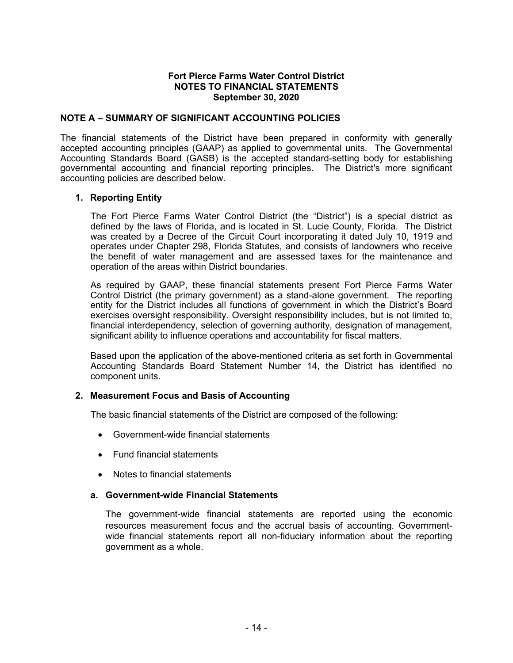### **NOTE A – SUMMARY OF SIGNIFICANT ACCOUNTING POLICIES**

The financial statements of the District have been prepared in conformity with generally accepted accounting principles (GAAP) as applied to governmental units. The Governmental Accounting Standards Board (GASB) is the accepted standard-setting body for establishing governmental accounting and financial reporting principles. The District's more significant accounting policies are described below.

### **1. Reporting Entity**

The Fort Pierce Farms Water Control District (the "District") is a special district as defined by the laws of Florida, and is located in St. Lucie County, Florida. The District was created by a Decree of the Circuit Court incorporating it dated July 10, 1919 and operates under Chapter 298, Florida Statutes, and consists of landowners who receive the benefit of water management and are assessed taxes for the maintenance and operation of the areas within District boundaries.

As required by GAAP, these financial statements present Fort Pierce Farms Water Control District (the primary government) as a stand-alone government. The reporting entity for the District includes all functions of government in which the District's Board exercises oversight responsibility. Oversight responsibility includes, but is not limited to, financial interdependency, selection of governing authority, designation of management, significant ability to influence operations and accountability for fiscal matters.

Based upon the application of the above-mentioned criteria as set forth in Governmental Accounting Standards Board Statement Number 14, the District has identified no component units.

#### **2. Measurement Focus and Basis of Accounting**

The basic financial statements of the District are composed of the following:

- Government-wide financial statements
- Fund financial statements
- Notes to financial statements

#### **a. Government-wide Financial Statements**

The government-wide financial statements are reported using the economic resources measurement focus and the accrual basis of accounting. Governmentwide financial statements report all non-fiduciary information about the reporting government as a whole.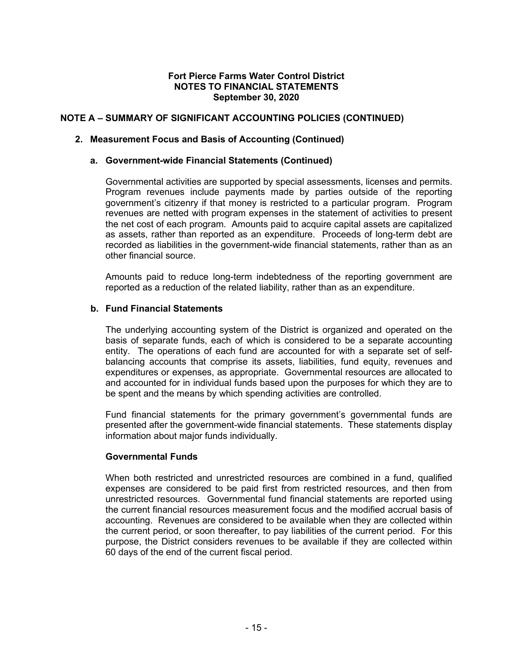## **NOTE A – SUMMARY OF SIGNIFICANT ACCOUNTING POLICIES (CONTINUED)**

### **2. Measurement Focus and Basis of Accounting (Continued)**

#### **a. Government-wide Financial Statements (Continued)**

Governmental activities are supported by special assessments, licenses and permits. Program revenues include payments made by parties outside of the reporting government's citizenry if that money is restricted to a particular program. Program revenues are netted with program expenses in the statement of activities to present the net cost of each program. Amounts paid to acquire capital assets are capitalized as assets, rather than reported as an expenditure. Proceeds of long-term debt are recorded as liabilities in the government-wide financial statements, rather than as an other financial source.

Amounts paid to reduce long-term indebtedness of the reporting government are reported as a reduction of the related liability, rather than as an expenditure.

## **b. Fund Financial Statements**

The underlying accounting system of the District is organized and operated on the basis of separate funds, each of which is considered to be a separate accounting entity. The operations of each fund are accounted for with a separate set of selfbalancing accounts that comprise its assets, liabilities, fund equity, revenues and expenditures or expenses, as appropriate. Governmental resources are allocated to and accounted for in individual funds based upon the purposes for which they are to be spent and the means by which spending activities are controlled.

Fund financial statements for the primary government's governmental funds are presented after the government-wide financial statements. These statements display information about major funds individually.

## **Governmental Funds**

When both restricted and unrestricted resources are combined in a fund, qualified expenses are considered to be paid first from restricted resources, and then from unrestricted resources. Governmental fund financial statements are reported using the current financial resources measurement focus and the modified accrual basis of accounting. Revenues are considered to be available when they are collected within the current period, or soon thereafter, to pay liabilities of the current period. For this purpose, the District considers revenues to be available if they are collected within 60 days of the end of the current fiscal period.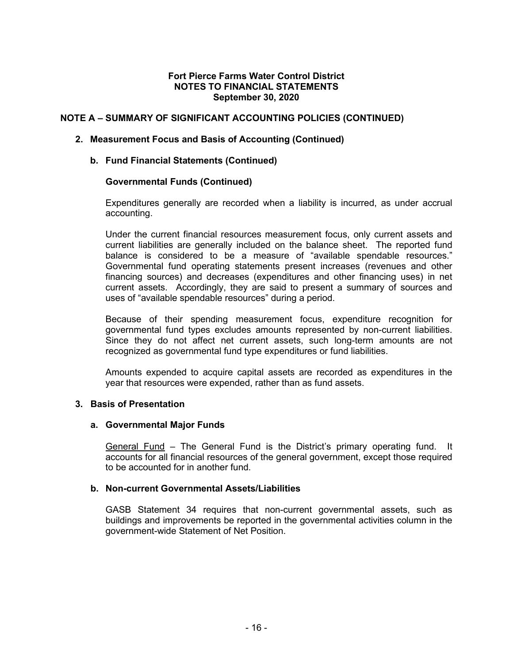## **NOTE A – SUMMARY OF SIGNIFICANT ACCOUNTING POLICIES (CONTINUED)**

### **2. Measurement Focus and Basis of Accounting (Continued)**

### **b. Fund Financial Statements (Continued)**

### **Governmental Funds (Continued)**

Expenditures generally are recorded when a liability is incurred, as under accrual accounting.

Under the current financial resources measurement focus, only current assets and current liabilities are generally included on the balance sheet. The reported fund balance is considered to be a measure of "available spendable resources." Governmental fund operating statements present increases (revenues and other financing sources) and decreases (expenditures and other financing uses) in net current assets. Accordingly, they are said to present a summary of sources and uses of "available spendable resources" during a period.

Because of their spending measurement focus, expenditure recognition for governmental fund types excludes amounts represented by non-current liabilities. Since they do not affect net current assets, such long-term amounts are not recognized as governmental fund type expenditures or fund liabilities.

Amounts expended to acquire capital assets are recorded as expenditures in the year that resources were expended, rather than as fund assets.

#### **3. Basis of Presentation**

#### **a. Governmental Major Funds**

General Fund - The General Fund is the District's primary operating fund. It accounts for all financial resources of the general government, except those required to be accounted for in another fund.

#### **b. Non-current Governmental Assets/Liabilities**

GASB Statement 34 requires that non-current governmental assets, such as buildings and improvements be reported in the governmental activities column in the government-wide Statement of Net Position.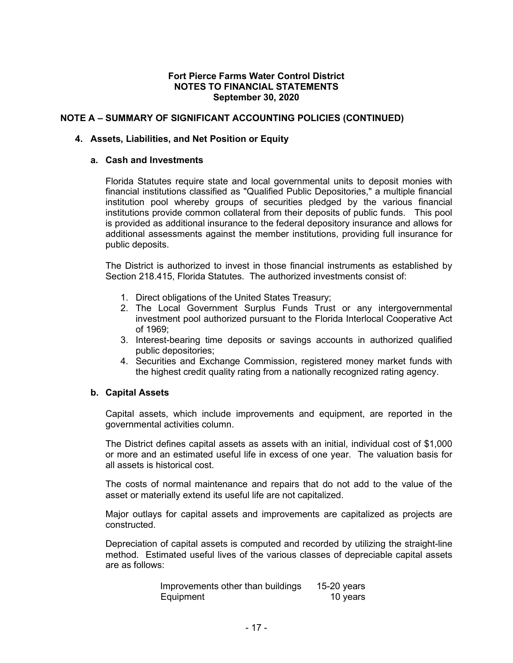## **NOTE A – SUMMARY OF SIGNIFICANT ACCOUNTING POLICIES (CONTINUED)**

### **4. Assets, Liabilities, and Net Position or Equity**

#### **a. Cash and Investments**

Florida Statutes require state and local governmental units to deposit monies with financial institutions classified as "Qualified Public Depositories," a multiple financial institution pool whereby groups of securities pledged by the various financial institutions provide common collateral from their deposits of public funds. This pool is provided as additional insurance to the federal depository insurance and allows for additional assessments against the member institutions, providing full insurance for public deposits.

The District is authorized to invest in those financial instruments as established by Section 218.415, Florida Statutes. The authorized investments consist of:

- 1. Direct obligations of the United States Treasury;
- 2. The Local Government Surplus Funds Trust or any intergovernmental investment pool authorized pursuant to the Florida Interlocal Cooperative Act of 1969;
- 3. Interest-bearing time deposits or savings accounts in authorized qualified public depositories;
- 4. Securities and Exchange Commission, registered money market funds with the highest credit quality rating from a nationally recognized rating agency.

#### **b. Capital Assets**

Capital assets, which include improvements and equipment, are reported in the governmental activities column.

The District defines capital assets as assets with an initial, individual cost of \$1,000 or more and an estimated useful life in excess of one year. The valuation basis for all assets is historical cost.

The costs of normal maintenance and repairs that do not add to the value of the asset or materially extend its useful life are not capitalized.

Major outlays for capital assets and improvements are capitalized as projects are constructed.

Depreciation of capital assets is computed and recorded by utilizing the straight-line method. Estimated useful lives of the various classes of depreciable capital assets are as follows:

| Improvements other than buildings | 15-20 years |
|-----------------------------------|-------------|
| Equipment                         | 10 years    |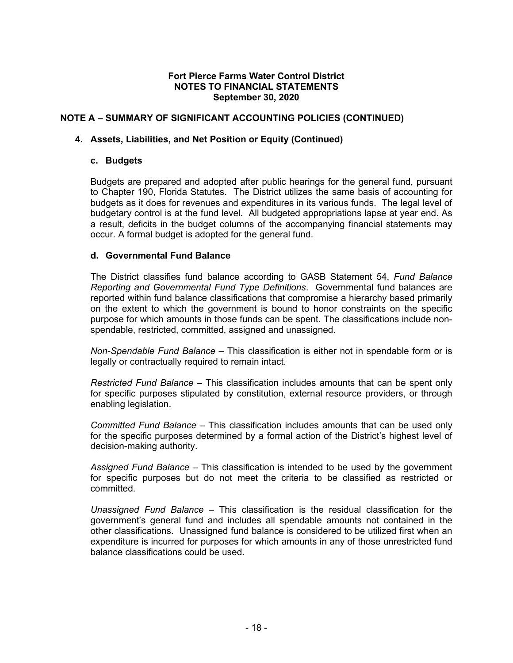## **NOTE A – SUMMARY OF SIGNIFICANT ACCOUNTING POLICIES (CONTINUED)**

#### **4. Assets, Liabilities, and Net Position or Equity (Continued)**

#### **c. Budgets**

Budgets are prepared and adopted after public hearings for the general fund, pursuant to Chapter 190, Florida Statutes. The District utilizes the same basis of accounting for budgets as it does for revenues and expenditures in its various funds. The legal level of budgetary control is at the fund level. All budgeted appropriations lapse at year end. As a result, deficits in the budget columns of the accompanying financial statements may occur. A formal budget is adopted for the general fund.

### **d. Governmental Fund Balance**

The District classifies fund balance according to GASB Statement 54, *Fund Balance Reporting and Governmental Fund Type Definitions*. Governmental fund balances are reported within fund balance classifications that compromise a hierarchy based primarily on the extent to which the government is bound to honor constraints on the specific purpose for which amounts in those funds can be spent. The classifications include nonspendable, restricted, committed, assigned and unassigned.

*Non-Spendable Fund Balance –* This classification is either not in spendable form or is legally or contractually required to remain intact.

*Restricted Fund Balance –* This classification includes amounts that can be spent only for specific purposes stipulated by constitution, external resource providers, or through enabling legislation.

*Committed Fund Balance* – This classification includes amounts that can be used only for the specific purposes determined by a formal action of the District's highest level of decision-making authority.

*Assigned Fund Balance* – This classification is intended to be used by the government for specific purposes but do not meet the criteria to be classified as restricted or committed.

*Unassigned Fund Balance* – This classification is the residual classification for the government's general fund and includes all spendable amounts not contained in the other classifications. Unassigned fund balance is considered to be utilized first when an expenditure is incurred for purposes for which amounts in any of those unrestricted fund balance classifications could be used.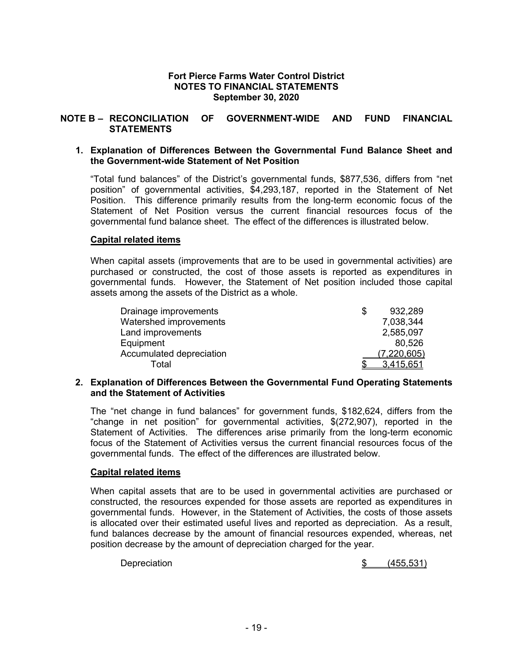#### **NOTE B – RECONCILIATION OF GOVERNMENT-WIDE AND FUND FINANCIAL STATEMENTS**

#### **1. Explanation of Differences Between the Governmental Fund Balance Sheet and the Government-wide Statement of Net Position**

"Total fund balances" of the District's governmental funds, \$877,536, differs from "net position" of governmental activities, \$4,293,187, reported in the Statement of Net Position. This difference primarily results from the long-term economic focus of the Statement of Net Position versus the current financial resources focus of the governmental fund balance sheet. The effect of the differences is illustrated below.

### **Capital related items**

When capital assets (improvements that are to be used in governmental activities) are purchased or constructed, the cost of those assets is reported as expenditures in governmental funds. However, the Statement of Net position included those capital assets among the assets of the District as a whole.

| Drainage improvements    | S | 932,289       |
|--------------------------|---|---------------|
| Watershed improvements   |   | 7,038,344     |
| Land improvements        |   | 2,585,097     |
| Equipment                |   | 80,526        |
| Accumulated depreciation |   | (7, 220, 605) |
| Total                    |   | 3,415,651     |

#### **2. Explanation of Differences Between the Governmental Fund Operating Statements and the Statement of Activities**

The "net change in fund balances" for government funds, \$182,624, differs from the "change in net position" for governmental activities, \$(272,907), reported in the Statement of Activities. The differences arise primarily from the long-term economic focus of the Statement of Activities versus the current financial resources focus of the governmental funds. The effect of the differences are illustrated below.

#### **Capital related items**

When capital assets that are to be used in governmental activities are purchased or constructed, the resources expended for those assets are reported as expenditures in governmental funds. However, in the Statement of Activities, the costs of those assets is allocated over their estimated useful lives and reported as depreciation. As a result, fund balances decrease by the amount of financial resources expended, whereas, net position decrease by the amount of depreciation charged for the year.

Depreciation **between** the contract of the contract of the contract of the contract of the contract of the contract of the contract of the contract of the contract of the contract of the contract of the contract of the con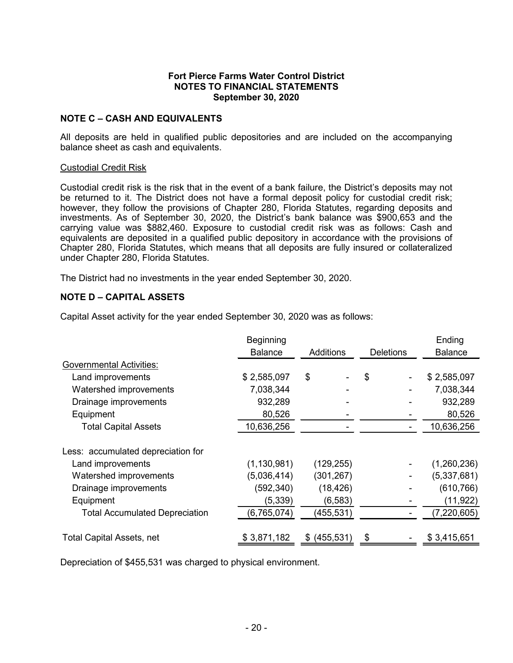### **NOTE C – CASH AND EQUIVALENTS**

All deposits are held in qualified public depositories and are included on the accompanying balance sheet as cash and equivalents.

#### Custodial Credit Risk

Custodial credit risk is the risk that in the event of a bank failure, the District's deposits may not be returned to it. The District does not have a formal deposit policy for custodial credit risk; however, they follow the provisions of Chapter 280, Florida Statutes, regarding deposits and investments. As of September 30, 2020, the District's bank balance was \$900,653 and the carrying value was \$882,460. Exposure to custodial credit risk was as follows: Cash and equivalents are deposited in a qualified public depository in accordance with the provisions of Chapter 280, Florida Statutes, which means that all deposits are fully insured or collateralized under Chapter 280, Florida Statutes.

The District had no investments in the year ended September 30, 2020.

## **NOTE D – CAPITAL ASSETS**

Capital Asset activity for the year ended September 30, 2020 was as follows:

|                                       | Beginning      |                  |                  | Ending         |
|---------------------------------------|----------------|------------------|------------------|----------------|
|                                       | <b>Balance</b> | <b>Additions</b> | <b>Deletions</b> | <b>Balance</b> |
| <b>Governmental Activities:</b>       |                |                  |                  |                |
| Land improvements                     | \$2,585,097    | \$               | \$               | \$2,585,097    |
| Watershed improvements                | 7,038,344      |                  |                  | 7,038,344      |
| Drainage improvements                 | 932,289        |                  |                  | 932,289        |
| Equipment                             | 80,526         |                  |                  | 80,526         |
| <b>Total Capital Assets</b>           | 10,636,256     |                  |                  | 10,636,256     |
| Less: accumulated depreciation for    |                |                  |                  |                |
| Land improvements                     | (1, 130, 981)  | (129, 255)       |                  | (1,260,236)    |
| Watershed improvements                | (5,036,414)    | (301, 267)       |                  | (5,337,681)    |
| Drainage improvements                 | (592, 340)     | (18, 426)        |                  | (610, 766)     |
| Equipment                             | (5, 339)       | (6, 583)         |                  | (11, 922)      |
| <b>Total Accumulated Depreciation</b> | (6,765,074)    | (455,531)        |                  | (7, 220, 605)  |
| <b>Total Capital Assets, net</b>      | \$3,871,182    | (455, 531)<br>S. | \$               | \$3,415,651    |

Depreciation of \$455,531 was charged to physical environment.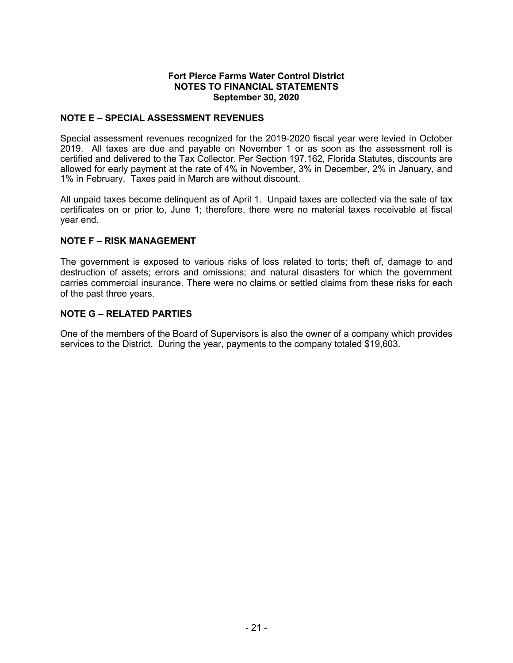### **NOTE E – SPECIAL ASSESSMENT REVENUES**

Special assessment revenues recognized for the 2019-2020 fiscal year were levied in October 2019. All taxes are due and payable on November 1 or as soon as the assessment roll is certified and delivered to the Tax Collector. Per Section 197.162, Florida Statutes, discounts are allowed for early payment at the rate of 4% in November, 3% in December, 2% in January, and 1% in February. Taxes paid in March are without discount.

All unpaid taxes become delinquent as of April 1. Unpaid taxes are collected via the sale of tax certificates on or prior to, June 1; therefore, there were no material taxes receivable at fiscal year end.

#### **NOTE F – RISK MANAGEMENT**

The government is exposed to various risks of loss related to torts; theft of, damage to and destruction of assets; errors and omissions; and natural disasters for which the government carries commercial insurance. There were no claims or settled claims from these risks for each of the past three years.

### **NOTE G – RELATED PARTIES**

One of the members of the Board of Supervisors is also the owner of a company which provides services to the District. During the year, payments to the company totaled \$19,603.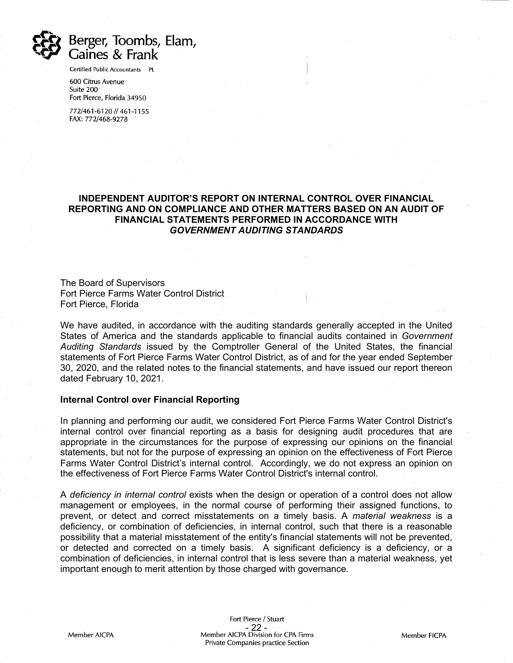

Certified Public Accountants PL

600 Citrus Avenue Suite 200 Fort Pierce, Florida 34950

772/461-6120 // 461-1155 FAX: 772/468-9278

### **INDEPENDENT AUDITOR'S REPORT ON INTERNAL CONTROL OVER FINANCIAL REPORTING AND ON COMPLIANCE AND OTHER MATTERS BASED ON AN AUDIT OF FINANCIAL STATEMENTS PERFORMED IN ACCORDANCE WITH** *GOVERNMENT AUDITING STANDARDS*

The Board of Supervisors Fort Pierce Farms Water Control District Fort Pierce, Florida

We have audited, in accordance with the auditing standards generally accepted in the United States of America and the standards applicable to financial audits contained in *Government Auditing Standards* issued by the Comptroller General of the United States, the financial statements of Fort Pierce Farms Water Control District, as of and for the year ended September 30, 2020, and the related notes to the financial statements, and have issued our report thereon dated February 10, 2021.

#### **Internal Control over Financial Reporting**

In planning and performing our audit, we considered Fort Pierce Farms Water Control District's internal control over financial reporting as a basis for designing audit procedures that are appropriate in the circumstances for the purpose of expressing our opinions on the financial statements, but not for the purpose of expressing an opinion on the effectiveness of Fort Pierce Farms Water Control District's internal control. Accordingly, we do not express an opinion on the effectiveness of Fort Pierce Farms Water Control District's internal control.

A *deficiency in internal control* exists when the design or operation of a control does not allow management or employees, in the normal course of performing their assigned functions, to prevent, or detect and correct misstatements on a timely basis. A *material weakness* is a deficiency, or combination of deficiencies, in internal control, such that there is a reasonable possibility that a material misstatement of the entity's financial statements will not be prevented, or detected and corrected on a timely basis. A significant deficiency is a deficiency, or a combination of deficiencies, in internal control that is less severe than a material weakness, yet important enough to merit attention by those charged with governance.

Fort Pierce / Stuart - 22 -<br>Member AICPA Division for CPA Firms Private Companies practice Section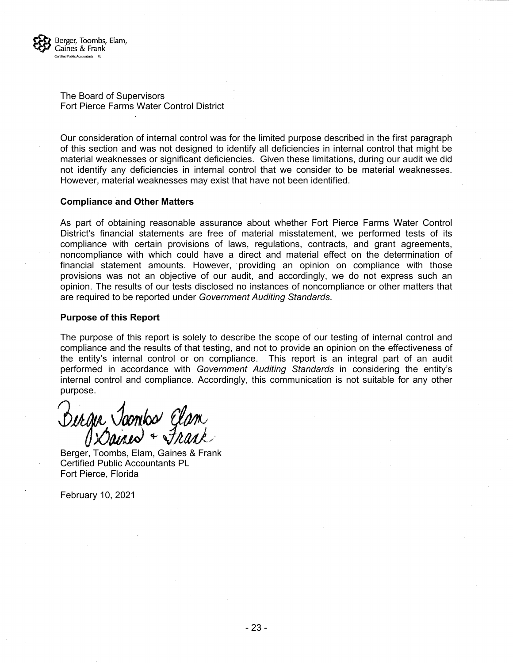

The Board of Supervisors Fort Pierce Farms Water Control District

Our consideration of internal control was for the limited purpose described in the first paragraph of this section and was not designed to identify all deficiencies in internal control that might be material weaknesses or significant deficiencies. Given these limitations, during our audit we did not identify any deficiencies in internal control that we consider to be material weaknesses. However, material weaknesses may exist that have not been identified.

#### **Compliance and Other Matters**

As part of obtaining reasonable assurance about whether Fort Pierce Farms Water Control District's financial statements are free of material misstatement, we performed tests of its compliance with certain provisions of laws, regulations, contracts, and grant agreements, noncompliance with which could have a direct and material effect on the determination of financial statement amounts. However, providing an opinion on compliance with those provisions was not an objective of our audit, and accordingly, we do not express such an opinion. The results of our tests disclosed no instances of noncompliance or other matters that are required to be reported under *Government Auditing Standards*.

#### **Purpose of this Report**

The purpose of this report is solely to describe the scope of our testing of internal control and compliance and the results of that testing, and not to provide an opinion on the effectiveness of the entity's internal control or on compliance. This report is an integral part of an audit performed in accordance with *Government Auditing Standards* in considering the entity's internal control and compliance. Accordingly, this communication is not suitable for any other purpose.

Birgir Joonbo Clam

Berger, Toombs, Elam, Gaines & Frank Certified Public Accountants PL Fort Pierce, Florida

February 10, 2021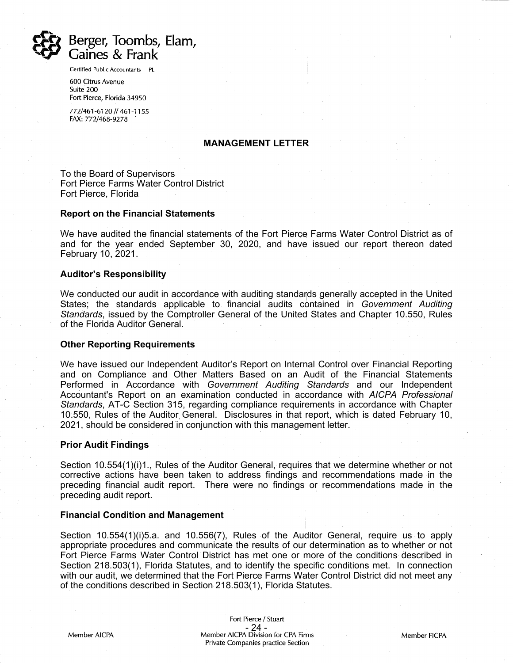

Certified Public Accountants PL

600 Citrus Avenue Suite 200 Fort Pierce, Florida 34950

772/461-6120 // 461-1155 FAX: 772/468-9278

#### **MANAGEMENT LETTER**

To the Board of Supervisors Fort Pierce Farms Water Control District Fort Pierce, Florida

#### **Report on the Financial Statements**

We have audited the financial statements of the Fort Pierce Farms Water Control District as of and for the year ended September 30, 2020, and have issued our report thereon dated February 10, 2021.

#### **Auditor's Responsibility**

We conducted our audit in accordance with auditing standards generally accepted in the United States; the standards applicable to financial audits contained in *Government Auditing Standards*, issued by the Comptroller General of the United States and Chapter 10.550, Rules of the Florida Auditor General.

#### **Other Reporting Requirements**

We have issued our Independent Auditor's Report on Internal Control over Financial Reporting and on Compliance and Other Matters Based on an Audit of the Financial Statements Performed in Accordance with *Government Auditing Standards* and our Independent Accountant's Report on an examination conducted in accordance with *AICPA Professional Standards*, AT-C Section 315, regarding compliance requirements in accordance with Chapter 10.550, Rules of the Auditor General. Disclosures in that report, which is dated February 10, 2021, should be considered in conjunction with this management letter.

#### **Prior Audit Findings**

Section 10.554(1)(i)1., Rules of the Auditor General, requires that we determine whether or not corrective actions have been taken to address findings and recommendations made in the preceding financial audit report. There were no findings or recommendations made in the preceding audit report.

#### **Financial Condition and Management**

Section 10.554(1)(i)5.a. and 10.556(7), Rules of the Auditor General, require us to apply appropriate procedures and communicate the results of our determination as to whether or not Fort Pierce Farms Water Control District has met one or more of the conditions described in Section 218.503(1), Florida Statutes, and to identify the specific conditions met. In connection with our audit, we determined that the Fort Pierce Farms Water Control District did not meet any of the conditions described in Section 218.503(1), Florida Statutes.

Fort Pierce / Stuart - 24<br>Member AICPA Division for CPA Firms Private Companies practice Section